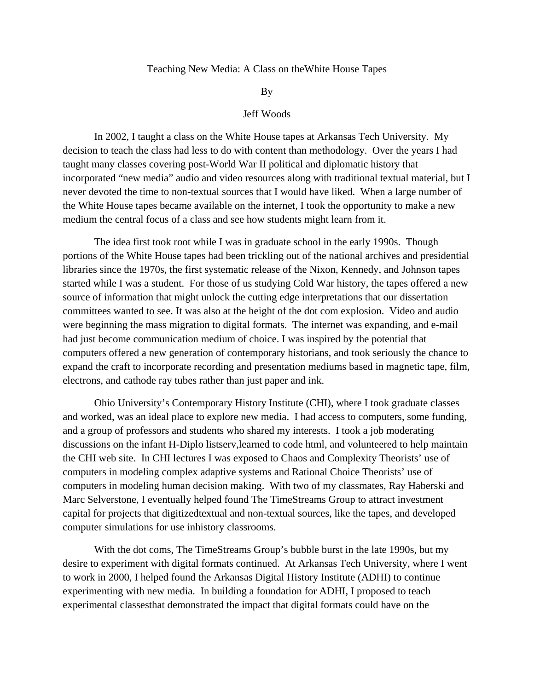## Teaching New Media: A Class on theWhite House Tapes

By

## Jeff Woods

 In 2002, I taught a class on the White House tapes at Arkansas Tech University. My decision to teach the class had less to do with content than methodology. Over the years I had taught many classes covering post-World War II political and diplomatic history that incorporated "new media" audio and video resources along with traditional textual material, but I never devoted the time to non-textual sources that I would have liked. When a large number of the White House tapes became available on the internet, I took the opportunity to make a new medium the central focus of a class and see how students might learn from it.

 The idea first took root while I was in graduate school in the early 1990s. Though portions of the White House tapes had been trickling out of the national archives and presidential libraries since the 1970s, the first systematic release of the Nixon, Kennedy, and Johnson tapes started while I was a student. For those of us studying Cold War history, the tapes offered a new source of information that might unlock the cutting edge interpretations that our dissertation committees wanted to see. It was also at the height of the dot com explosion. Video and audio were beginning the mass migration to digital formats. The internet was expanding, and e-mail had just become communication medium of choice. I was inspired by the potential that computers offered a new generation of contemporary historians, and took seriously the chance to expand the craft to incorporate recording and presentation mediums based in magnetic tape, film, electrons, and cathode ray tubes rather than just paper and ink.

 Ohio University's Contemporary History Institute (CHI), where I took graduate classes and worked, was an ideal place to explore new media. I had access to computers, some funding, and a group of professors and students who shared my interests. I took a job moderating discussions on the infant H-Diplo listserv,learned to code html, and volunteered to help maintain the CHI web site. In CHI lectures I was exposed to Chaos and Complexity Theorists' use of computers in modeling complex adaptive systems and Rational Choice Theorists' use of computers in modeling human decision making. With two of my classmates, Ray Haberski and Marc Selverstone, I eventually helped found The TimeStreams Group to attract investment capital for projects that digitizedtextual and non-textual sources, like the tapes, and developed computer simulations for use inhistory classrooms.

 With the dot coms, The TimeStreams Group's bubble burst in the late 1990s, but my desire to experiment with digital formats continued. At Arkansas Tech University, where I went to work in 2000, I helped found the Arkansas Digital History Institute (ADHI) to continue experimenting with new media. In building a foundation for ADHI, I proposed to teach experimental classesthat demonstrated the impact that digital formats could have on the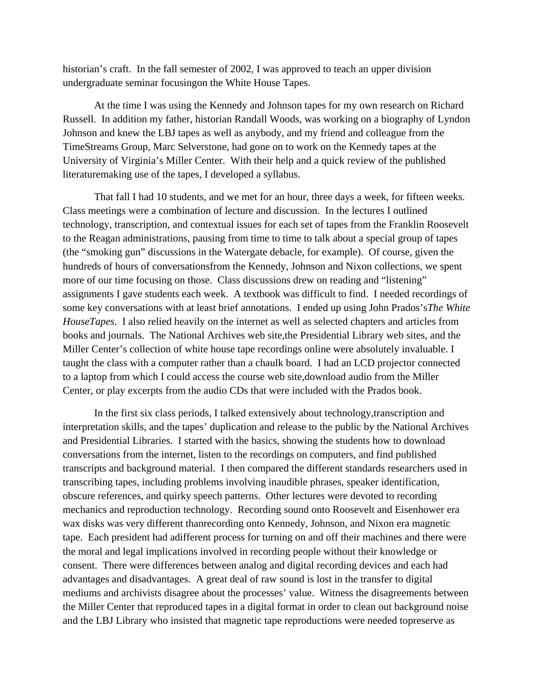historian's craft. In the fall semester of 2002, I was approved to teach an upper division undergraduate seminar focusingon the White House Tapes.

 At the time I was using the Kennedy and Johnson tapes for my own research on Richard Russell. In addition my father, historian Randall Woods, was working on a biography of Lyndon Johnson and knew the LBJ tapes as well as anybody, and my friend and colleague from the TimeStreams Group, Marc Selverstone, had gone on to work on the Kennedy tapes at the University of Virginia's Miller Center. With their help and a quick review of the published literaturemaking use of the tapes, I developed a syllabus.

 That fall I had 10 students, and we met for an hour, three days a week, for fifteen weeks. Class meetings were a combination of lecture and discussion. In the lectures I outlined technology, transcription, and contextual issues for each set of tapes from the Franklin Roosevelt to the Reagan administrations, pausing from time to time to talk about a special group of tapes (the "smoking gun" discussions in the Watergate debacle, for example). Of course, given the hundreds of hours of conversationsfrom the Kennedy, Johnson and Nixon collections, we spent more of our time focusing on those. Class discussions drew on reading and "listening" assignments I gave students each week. A textbook was difficult to find. I needed recordings of some key conversations with at least brief annotations. I ended up using John Prados's*The White HouseTapes*. I also relied heavily on the internet as well as selected chapters and articles from books and journals. The National Archives web site,the Presidential Library web sites, and the Miller Center's collection of white house tape recordings online were absolutely invaluable. I taught the class with a computer rather than a chaulk board. I had an LCD projector connected to a laptop from which I could access the course web site,download audio from the Miller Center, or play excerpts from the audio CDs that were included with the Prados book.

 In the first six class periods, I talked extensively about technology,transcription and interpretation skills, and the tapes' duplication and release to the public by the National Archives and Presidential Libraries. I started with the basics, showing the students how to download conversations from the internet, listen to the recordings on computers, and find published transcripts and background material. I then compared the different standards researchers used in transcribing tapes, including problems involving inaudible phrases, speaker identification, obscure references, and quirky speech patterns. Other lectures were devoted to recording mechanics and reproduction technology. Recording sound onto Roosevelt and Eisenhower era wax disks was very different thanrecording onto Kennedy, Johnson, and Nixon era magnetic tape. Each president had adifferent process for turning on and off their machines and there were the moral and legal implications involved in recording people without their knowledge or consent. There were differences between analog and digital recording devices and each had advantages and disadvantages. A great deal of raw sound is lost in the transfer to digital mediums and archivists disagree about the processes' value. Witness the disagreements between the Miller Center that reproduced tapes in a digital format in order to clean out background noise and the LBJ Library who insisted that magnetic tape reproductions were needed topreserve as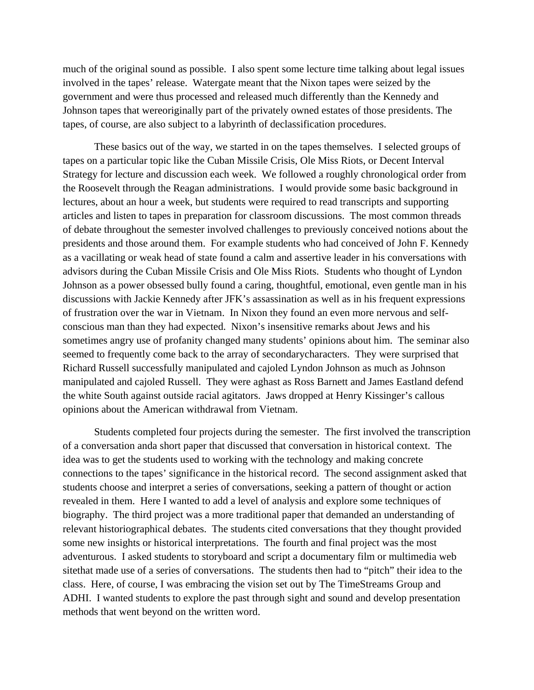much of the original sound as possible. I also spent some lecture time talking about legal issues involved in the tapes' release. Watergate meant that the Nixon tapes were seized by the government and were thus processed and released much differently than the Kennedy and Johnson tapes that wereoriginally part of the privately owned estates of those presidents. The tapes, of course, are also subject to a labyrinth of declassification procedures.

 These basics out of the way, we started in on the tapes themselves. I selected groups of tapes on a particular topic like the Cuban Missile Crisis, Ole Miss Riots, or Decent Interval Strategy for lecture and discussion each week. We followed a roughly chronological order from the Roosevelt through the Reagan administrations. I would provide some basic background in lectures, about an hour a week, but students were required to read transcripts and supporting articles and listen to tapes in preparation for classroom discussions. The most common threads of debate throughout the semester involved challenges to previously conceived notions about the presidents and those around them. For example students who had conceived of John F. Kennedy as a vacillating or weak head of state found a calm and assertive leader in his conversations with advisors during the Cuban Missile Crisis and Ole Miss Riots. Students who thought of Lyndon Johnson as a power obsessed bully found a caring, thoughtful, emotional, even gentle man in his discussions with Jackie Kennedy after JFK's assassination as well as in his frequent expressions of frustration over the war in Vietnam. In Nixon they found an even more nervous and selfconscious man than they had expected. Nixon's insensitive remarks about Jews and his sometimes angry use of profanity changed many students' opinions about him. The seminar also seemed to frequently come back to the array of secondarycharacters. They were surprised that Richard Russell successfully manipulated and cajoled Lyndon Johnson as much as Johnson manipulated and cajoled Russell. They were aghast as Ross Barnett and James Eastland defend the white South against outside racial agitators. Jaws dropped at Henry Kissinger's callous opinions about the American withdrawal from Vietnam.

 Students completed four projects during the semester. The first involved the transcription of a conversation anda short paper that discussed that conversation in historical context. The idea was to get the students used to working with the technology and making concrete connections to the tapes' significance in the historical record. The second assignment asked that students choose and interpret a series of conversations, seeking a pattern of thought or action revealed in them. Here I wanted to add a level of analysis and explore some techniques of biography. The third project was a more traditional paper that demanded an understanding of relevant historiographical debates. The students cited conversations that they thought provided some new insights or historical interpretations. The fourth and final project was the most adventurous. I asked students to storyboard and script a documentary film or multimedia web sitethat made use of a series of conversations. The students then had to "pitch" their idea to the class. Here, of course, I was embracing the vision set out by The TimeStreams Group and ADHI. I wanted students to explore the past through sight and sound and develop presentation methods that went beyond on the written word.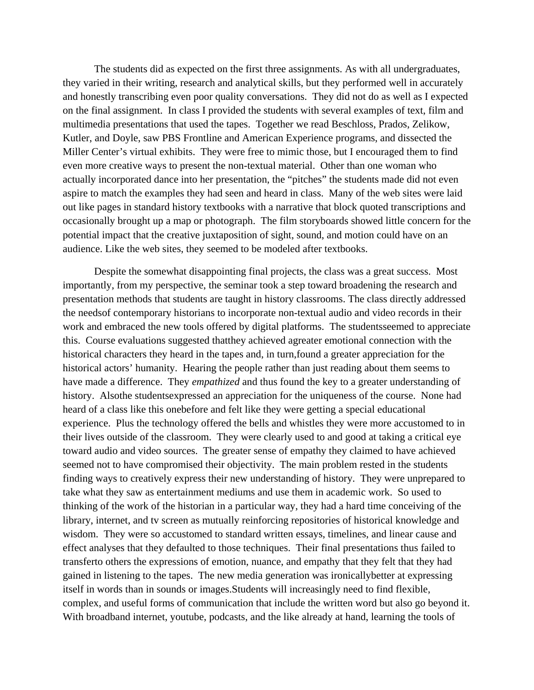The students did as expected on the first three assignments. As with all undergraduates, they varied in their writing, research and analytical skills, but they performed well in accurately and honestly transcribing even poor quality conversations. They did not do as well as I expected on the final assignment. In class I provided the students with several examples of text, film and multimedia presentations that used the tapes. Together we read Beschloss, Prados, Zelikow, Kutler, and Doyle, saw PBS Frontline and American Experience programs, and dissected the Miller Center's virtual exhibits. They were free to mimic those, but I encouraged them to find even more creative ways to present the non-textual material. Other than one woman who actually incorporated dance into her presentation, the "pitches" the students made did not even aspire to match the examples they had seen and heard in class. Many of the web sites were laid out like pages in standard history textbooks with a narrative that block quoted transcriptions and occasionally brought up a map or photograph. The film storyboards showed little concern for the potential impact that the creative juxtaposition of sight, sound, and motion could have on an audience. Like the web sites, they seemed to be modeled after textbooks.

 Despite the somewhat disappointing final projects, the class was a great success. Most importantly, from my perspective, the seminar took a step toward broadening the research and presentation methods that students are taught in history classrooms. The class directly addressed the needsof contemporary historians to incorporate non-textual audio and video records in their work and embraced the new tools offered by digital platforms. The studentsseemed to appreciate this. Course evaluations suggested thatthey achieved agreater emotional connection with the historical characters they heard in the tapes and, in turn,found a greater appreciation for the historical actors' humanity. Hearing the people rather than just reading about them seems to have made a difference. They *empathized* and thus found the key to a greater understanding of history. Alsothe studentsexpressed an appreciation for the uniqueness of the course. None had heard of a class like this onebefore and felt like they were getting a special educational experience. Plus the technology offered the bells and whistles they were more accustomed to in their lives outside of the classroom. They were clearly used to and good at taking a critical eye toward audio and video sources. The greater sense of empathy they claimed to have achieved seemed not to have compromised their objectivity. The main problem rested in the students finding ways to creatively express their new understanding of history. They were unprepared to take what they saw as entertainment mediums and use them in academic work. So used to thinking of the work of the historian in a particular way, they had a hard time conceiving of the library, internet, and tv screen as mutually reinforcing repositories of historical knowledge and wisdom. They were so accustomed to standard written essays, timelines, and linear cause and effect analyses that they defaulted to those techniques. Their final presentations thus failed to transferto others the expressions of emotion, nuance, and empathy that they felt that they had gained in listening to the tapes. The new media generation was ironicallybetter at expressing itself in words than in sounds or images.Students will increasingly need to find flexible, complex, and useful forms of communication that include the written word but also go beyond it. With broadband internet, youtube, podcasts, and the like already at hand, learning the tools of